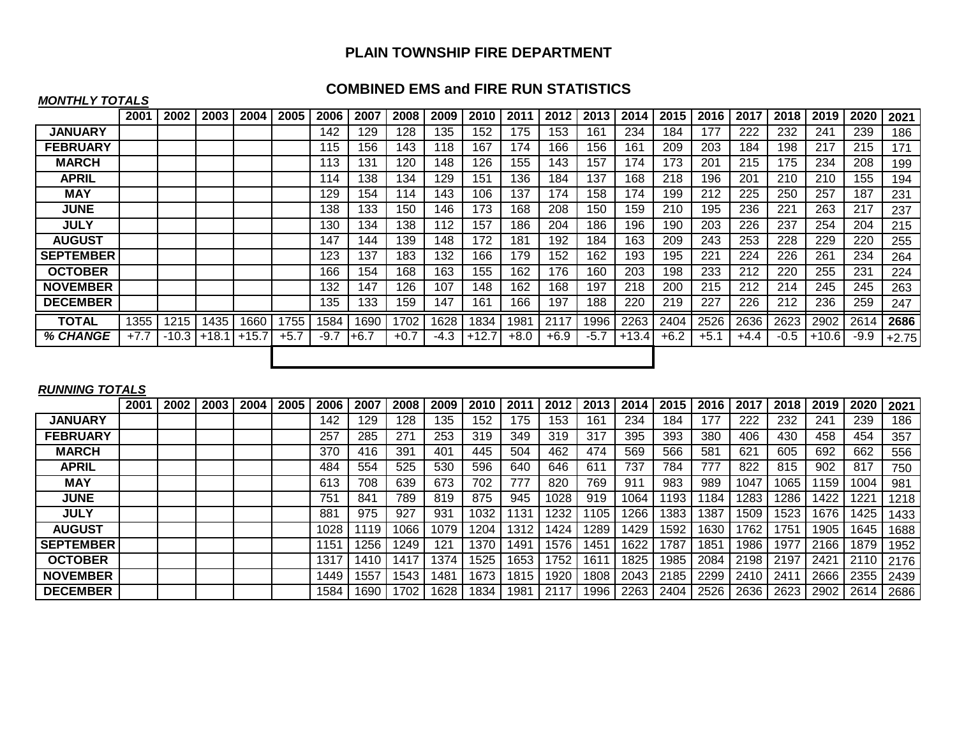# **PLAIN TOWNSHIP FIRE DEPARTMENT**

## **COMBINED EMS and FIRE RUN STATISTICS**

#### *MONTHLY TOTALS*

|                  | 2001   | 2002    | 2003 | 2004    | 2005   | 2006 | 2007   | 2008   | 2009   | 2010    | 2011   | 2012   | 2013   | 2014    | 2015   | 2016   | 2017   | 2018            | 2019    | 2020   | 2021    |
|------------------|--------|---------|------|---------|--------|------|--------|--------|--------|---------|--------|--------|--------|---------|--------|--------|--------|-----------------|---------|--------|---------|
| <b>JANUARY</b>   |        |         |      |         |        | 142  | 129    | 128    | 135    | 152     | 175    | 53     | 161    | 234     | 184    | 177    | 222    | 232             | 241     | 239    | 186     |
| <b>FEBRUARY</b>  |        |         |      |         |        | 115  | 156    | 143    | 118    | 167     | 174    | 166    | 156    | 161     | 209    | 203    | 184    | 198             | 217     | 215    | 171     |
| <b>MARCH</b>     |        |         |      |         |        | 113  | 131    | 120    | 148    | 126     | 155    | 143    | 157    | 174     | 173    | 201    | 215    | 175             | 234     | 208    | 199     |
| <b>APRIL</b>     |        |         |      |         |        | 114  | 138    | 134    | 129    | 151     | 136    | 184    | 137    | 168     | 218    | 196    | 201    | 210             | 210     | 155    | 194     |
| <b>MAY</b>       |        |         |      |         |        | 129  | 154    | 114    | 143    | 106     | 137    | 74     | 158    | 174     | 199    | 212    | 225    | 250             | 257     | 187    | 231     |
| <b>JUNE</b>      |        |         |      |         |        | 138  | 133    | 150    | 146    | 173     | 168    | 208    | 150    | 159     | 210    | 195    | 236    | 22 <sub>1</sub> | 263     | 217    | 237     |
| <b>JULY</b>      |        |         |      |         |        | 130  | 134    | 138    | 112    | 157     | 186    | 204    | 186    | 196     | 190    | 203    | 226    | 237             | 254     | 204    | 215     |
| <b>AUGUST</b>    |        |         |      |         |        | 147  | 144    | 139    | 148    | 172     | 181    | 192    | 184    | 163     | 209    | 243    | 253    | 228             | 229     | 220    | 255     |
| <b>SEPTEMBER</b> |        |         |      |         |        | 123  | 137    | 183    | 132    | 166     | 179    | 152    | 162    | 193     | 195    | 221    | 224    | 226             | 261     | 234    | 264     |
| <b>OCTOBER</b>   |        |         |      |         |        | 166  | 154    | 168    | 163    | 155     | 162    | 176    | 160    | 203     | 198    | 233    | 212    | 220             | 255     | 231    | 224     |
| <b>NOVEMBER</b>  |        |         |      |         |        | 132  | 147    | 126    | 107    | 148     | 162    | 168    | 197    | 218     | 200    | 215    | 212    | 214             | 245     | 245    | 263     |
| <b>DECEMBER</b>  |        |         |      |         |        | 135  | 133    | 159    | 147    | 161     | 166    | 197    | 188    | 220     | 219    | 227    | 226    | 212             | 236     | 259    | 247     |
| <b>TOTAL</b>     | 1355   | 1215    | 1435 | 1660    | 1755   | 1584 | 1690   | 1702   | 1628   | 1834    | 1981   | 2117   | 1996   | 2263    | 2404   | 2526   | 2636   | 2623            | 2902    | 2614   | 2686    |
| % CHANGE         | $+7.7$ | $-10.3$ | +18. | $+15.7$ | $+5.7$ | -9.7 | $+6.7$ | $+0.7$ | $-4.3$ | $+12.7$ | $+8.0$ | $+6.9$ | $-5.7$ | $+13.4$ | $+6.2$ | $+5.1$ | $+4.4$ | -0.5            | $+10.6$ | $-9.9$ | $+2.75$ |
|                  |        |         |      |         |        |      |        |        |        |         |        |        |        |         |        |        |        |                 |         |        |         |

### *RUNNING TOTALS*

|                  | 2001 | 2002 | 2003 | 2004 | 2005 | 2006 | 2007 | 2008 | 2009             | 2010 | 201              | 2012 |                  | 2014 | 2015 | 2016 | 201  |      | 2019 | 2020 | 2021 |
|------------------|------|------|------|------|------|------|------|------|------------------|------|------------------|------|------------------|------|------|------|------|------|------|------|------|
| <b>JANUARY</b>   |      |      |      |      |      | 142  | 129  | 128  | 135              | 152  | 75               | 153  | 161              | 234  | 184  | 77   | 222  | 232  | 241  | 239  | 186  |
| <b>FEBRUARY</b>  |      |      |      |      |      | 257  | 285  | 271  | 253              | 319  | 349              | 319  | 317              | 395  | 393  | 380  | 406  | 430  | 458  | 454  | 357  |
| <b>MARCH</b>     |      |      |      |      |      | 370  | 416  | 391  | 401              | 445  | 504              | 462  | 474              | 569  | 566  | 581  | 621  | 605  | 692  | 662  | 556  |
| <b>APRIL</b>     |      |      |      |      |      | 484  | 554  | 525  | 530              | 596  | 640              | 646  | $61^{\circ}$     | 737  | 784  | 777  | 822  | 815  | 902  | 817  | 750  |
| <b>MAY</b>       |      |      |      |      |      | 613  | 708  | 639  | 673              | 702  | 777              | 820  | 769              | 911  | 983  | 989  | 1047 | 065  | 159  | 1004 | 981  |
| <b>JUNE</b>      |      |      |      |      |      | 751  | 841  | 789  | 819              | 875  | 945              | 1028 | 919              | 1064 | 193  | 184  | 283  | 286  | 1422 | 1221 | 1218 |
| <b>JULY</b>      |      |      |      |      |      | 881  | 975  | 927  | 931              | 1032 | 131              | 232  | 105              | 266  | 1383 | 387  | 1509 | 523  | 1676 | 1425 | 1433 |
| <b>AUGUST</b>    |      |      |      |      |      | 1028 | 119  | 066  | 1079             | 1204 | 1312             | 1424 | 289              | 429ء | 1592 | 1630 | 762  | 751  | 1905 | 1645 | 1688 |
| <b>SEPTEMBER</b> |      |      |      |      |      | 1151 | 256  | 249  | 121              | 1370 | 149 <sup>1</sup> | 1576 | 145 <sup>4</sup> | 1622 | 1787 | 1851 | 1986 | 977  | 2166 | 1879 | 1952 |
| <b>OCTOBER</b>   |      |      |      |      |      | 1317 | 1410 | 41   | 1374             | 1525 | 1653             | 752  | 161              | 1825 | 1985 | 2084 | 2198 | 2197 | 2421 | 2110 | 2176 |
| <b>NOVEMBER</b>  |      |      |      |      |      | 1449 | 1557 | 543  | 148 <sup>4</sup> | 1673 | 1815             | 1920 | 1808             | 2043 | 2185 | 2299 | 2410 | 241  | 2666 | 2355 | 2439 |
| <b>DECEMBER</b>  |      |      |      |      |      | 1584 | 1690 | 1702 | 1628             | 1834 | 1981             | 2117 | 996              | 2263 | 2404 | 2526 | 2636 | 2623 | 2902 | 2614 | 2686 |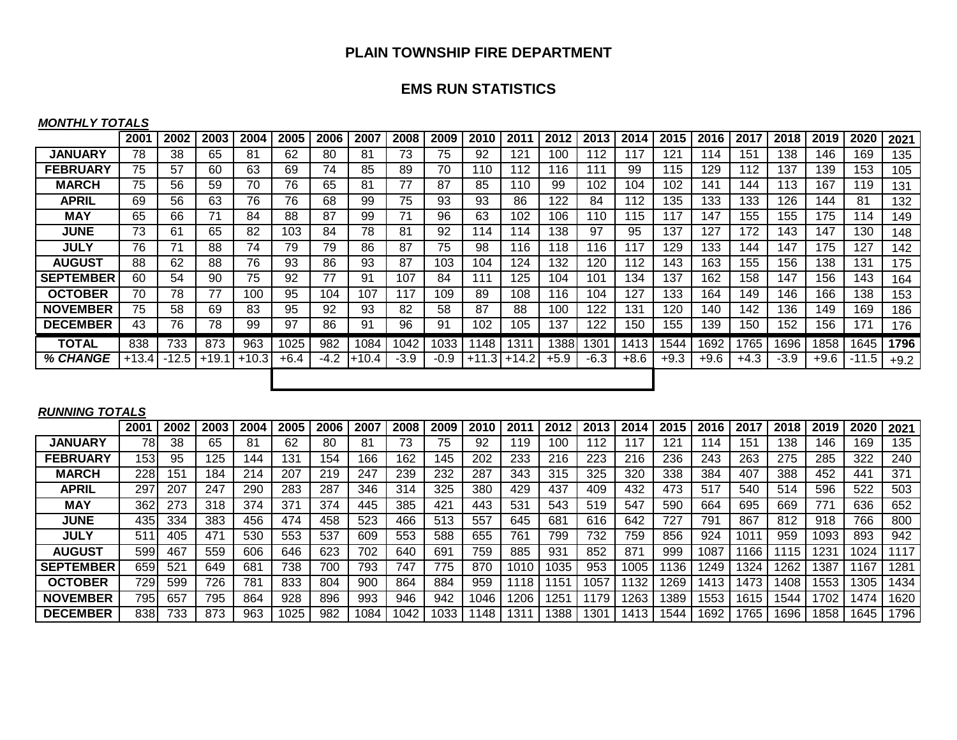## **PLAIN TOWNSHIP FIRE DEPARTMENT**

## **EMS RUN STATISTICS**

#### *MONTHLY TOTALS*

|                  | 2001    | 2002    | 2003    | 2004    | 2005   | 2006   | 2007    | 2008   | 2009   | 2010 | 2011           | 2012   | 2013   | 2014   | 2015   | 2016   | 2017   | 2018   | 2019 | 2020    | 2021   |
|------------------|---------|---------|---------|---------|--------|--------|---------|--------|--------|------|----------------|--------|--------|--------|--------|--------|--------|--------|------|---------|--------|
| <b>JANUARY</b>   | 78      | 38      | 65      | 81      | 62     | 80     | 81      | 73     | 75     | 92   | 121            | 100    | 12     | 117    | 121    | 114    | 151    | 138    | 146  | 169     | 135    |
| <b>FEBRUARY</b>  | 75      | 57      | 60      | 63      | 69     | 74     | 85      | 89     | 70     | 110  | 112            | 116    | 111    | 99     | 115    | 129    | 112    | 137    | 139  | 153     | 105    |
| <b>MARCH</b>     | 75      | 56      | 59      | 70      | 76     | 65     | 81      | 77     | 87     | 85   | 110            | 99     | 102    | 104    | 102    | 141    | 144    | 113    | 167  | 119     | 131    |
| <b>APRIL</b>     | 69      | 56      | 63      | 76      | 76     | 68     | 99      | 75     | 93     | 93   | 86             | 122    | 84     | 112    | 135    | 133    | 133    | 126    | 144  | 81      | 132    |
| <b>MAY</b>       | 65      | 66      | 71      | 84      | 88     | 87     | 99      | 71     | 96     | 63   | 102            | 106    | 110    | 115    | 117    | 147    | 155    | 155    | 175  | 114     | 149    |
| <b>JUNE</b>      | 73      | 61      | 65      | 82      | 103    | 84     | 78      | 81     | 92     | 114  | 114            | 138    | 97     | 95     | 137    | 127    | 172    | 143    | 147  | 130     | 148    |
| <b>JULY</b>      | 76      | 71      | 88      | 74      | 79     | 79     | 86      | 87     | 75     | 98   | 116            | 118    | 116    | 117    | 129    | 133    | 144    | 147    | 175  | 127     | 142    |
| <b>AUGUST</b>    | 88      | 62      | 88      | 76      | 93     | 86     | 93      | 87     | 103    | 104  | 124            | 132    | 120    | 112    | 143    | 163    | 155    | 156    | 138  | 131     | 175    |
| <b>SEPTEMBER</b> | 60      | 54      | 90      | 75      | 92     | 77     | 91      | 107    | 84     | 111  | 125            | 104    | 101    | 134    | 137    | 162    | 158    | 147    | 156  | 143     | 164    |
| <b>OCTOBER</b>   | 70      | 78      | 77      | 100     | 95     | 104    | 107     | 117    | 109    | 89   | 108            | 116    | 104    | 127    | 133    | 164    | 149    | 146    | 166  | 138     | 153    |
| <b>NOVEMBER</b>  | 75      | 58      | 69      | 83      | 95     | 92     | 93      | 82     | 58     | 87   | 88             | 100    | 122    | 131    | 120    | 140    | 142    | 136    | 149  | 169     | 186    |
| <b>DECEMBER</b>  | 43      | 76      | 78      | 99      | 97     | 86     | 91      | 96     | 91     | 102  | 105            | 137    | 122    | 150    | 155    | 139    | 150    | 152    | 156  | 171     | 176    |
| <b>TOTAL</b>     | 838     | 733     | 873     | 963     | 1025   | 982    | 1084    | 1042   | 1033   | 1148 | 1311           | 1388I  | 1301   | 1413   | 1544   | 1692   | 1765   | 1696   | 1858 | 1645    | 1796   |
| % CHANGE         | $+13.4$ | $-12.5$ | $+19.1$ | $+10.3$ | $+6.4$ | $-4.2$ | $+10.4$ | $-3.9$ | $-0.9$ |      | $+11.3$ + 14.2 | $+5.9$ | $-6.3$ | $+8.6$ | $+9.3$ | $+9.6$ | $+4.3$ | $-3.9$ | +9.6 | $-11.5$ | $+9.2$ |
|                  |         |         |         |         |        |        |         |        |        |      |                |        |        |        |        |        |        |        |      |         |        |

### *RUNNING TOTALS*

|                  | 2001 | 2002 | 2003 | 2004 | 2005 | 2006 | 2007 | 2008 | 2009 | 2010 | 201  | 2012             | 201             | 2014 | 2015 | 2016 | 201.          | 2018 | 2019 | 2020 | 2021 |
|------------------|------|------|------|------|------|------|------|------|------|------|------|------------------|-----------------|------|------|------|---------------|------|------|------|------|
| <b>JANUARY</b>   | 78   | 38   | 65   | 81   | 62   | 80   | 81   | 73   | 75   | 92   | ∣19  | 100              | 112             |      | 121  | 14   | 151           | 138  | 146  | 169  | 135  |
| <b>FEBRUARY</b>  | 153  | 95   | 25   | 144  | 131  | 154  | 166  | 162  | 145  | 202  | 233  | 216              | 223             | 216  | 236  | 243  | 263           | 275  | 285  | 322  | 240  |
| <b>MARCH</b>     | 228  | 151  | 184  | 214  | 207  | 219  | 247  | 239  | 232  | 287  | 343  | 315              | 325             | 320  | 338  | 384  | 407           | 388  | 452  | 441  | 371  |
| <b>APRIL</b>     | 297  | 207  | 247  | 290  | 283  | 287  | 346  | 314  | 325  | 380  | 429  | 437              | 409             | 432  | 473  | 517  | 540           | 514  | 596  | 522  | 503  |
| MAY              | 362  | 273  | 318  | 374  | 371  | 374  | 445  | 385  | 421  | 443  | 531  | 543              | 519             | 547  | 590  | 664  | 695           | 669  | 77'  | 636  | 652  |
| <b>JUNE</b>      | 435  | 334  | 383  | 456  | 474  | 458  | 523  | 466  | 513  | 557  | 645  | 681              | 616             | 642  | 727  | 791  | 867           | 812  | 918  | 766  | 800  |
| <b>JULY</b>      | 511  | 405  | 471  | 530  | 553  | 537  | 609  | 553  | 588  | 655  | 761  | 799              | 732             | 759  | 856  | 924  | $101^{\circ}$ | 959  | 1093 | 893  | 942  |
| <b>AUGUST</b>    | 599  | 467  | 559  | 606  | 646  | 623  | 702  | 640  | 691  | 759  | 885  | 931              | 852             | 87'  | 999  | 1087 | 166           | 15   | 1231 | 1024 | 117  |
| <b>SEPTEMBER</b> | 659  | 521  | 649  | 681  | 738  | 700  | 793  | 747  | 775  | 870  | 1010 | 1035             | 953             | 1005 | 136  | 1249 | 324           | 262  | 1387 | 167  | 1281 |
| <b>OCTOBER</b>   | 729. | 599  | 726  | 781  | 833  | 804  | 900  | 864  | 884  | 959  | 1118 | 1151             | 057             | 132  | 269  | 1413 | 1473          | 1408 | 1553 | 1305 | 1434 |
| <b>NOVEMBER</b>  | 795  | 657  | 795  | 864  | 928  | 896  | 993  | 946  | 942  | 1046 | 1206 | 125 <sup>4</sup> | 179             | 263  | 1389 | 1553 | 1615          | 1544 | 702  | 1474 | 1620 |
| <b>DECEMBER</b>  | 838  | 733  | 873  | 963  | 1025 | 982  | 1084 | 042  | 1033 | 148  | 131  | 1388             | 30 <sup>4</sup> | 1413 | 1544 | 1692 | 1765          | 1696 | 1858 | 1645 | 1796 |